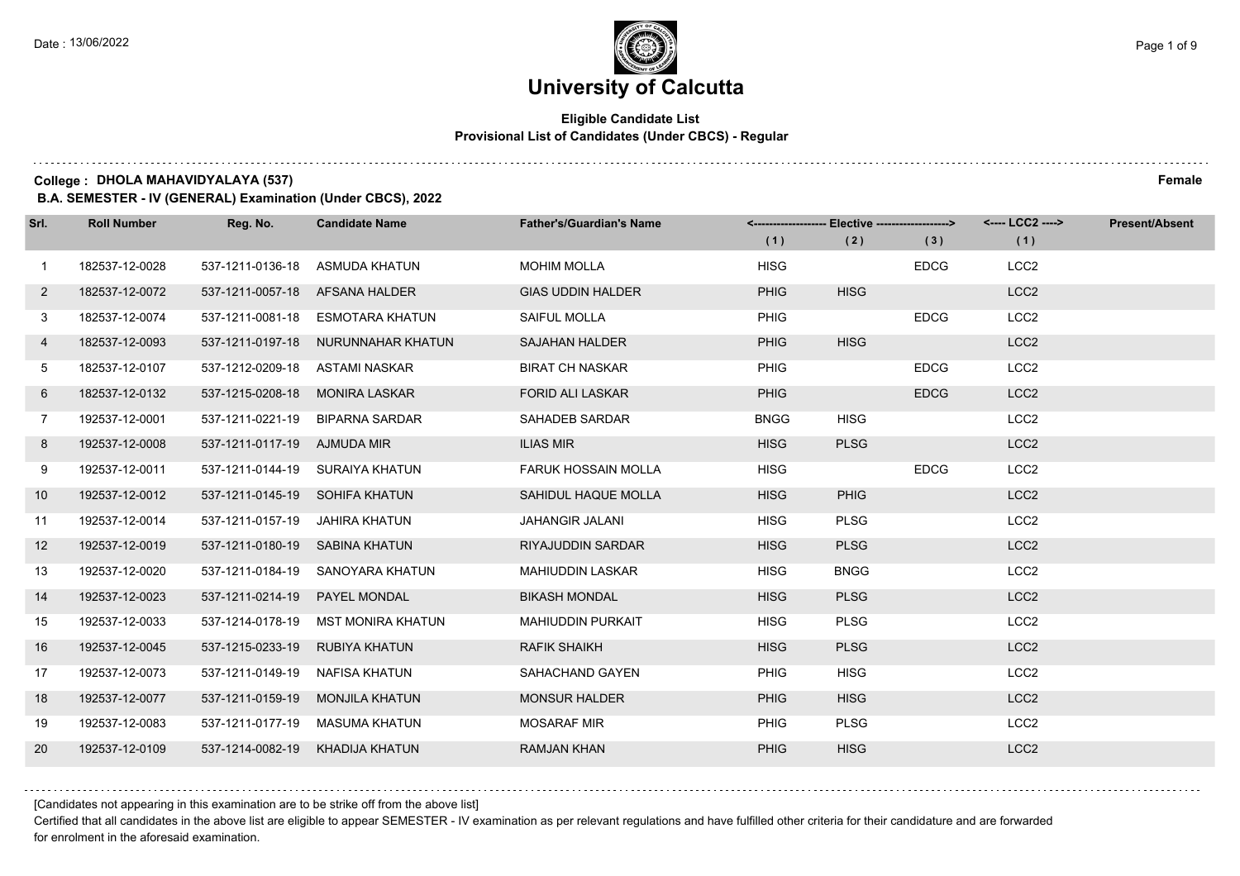# **University of Calcutta**

### **Eligible Candidate List Provisional List of Candidates (Under CBCS) - Regular**

**College : DHOLA MAHAVIDYALAYA (537) Female**

**B.A. SEMESTER - IV (GENERAL) Examination (Under CBCS), 2022**

| Srl.        | <b>Roll Number</b> | Reg. No.                       | <b>Candidate Name</b>              | <b>Father's/Guardian's Name</b> |             | <-------------------- Elective ------------------> |             | <---- LCC2 ----> | <b>Present/Absent</b> |
|-------------|--------------------|--------------------------------|------------------------------------|---------------------------------|-------------|----------------------------------------------------|-------------|------------------|-----------------------|
|             |                    |                                |                                    |                                 | (1)         | (2)                                                | (3)         | (1)              |                       |
| $\mathbf 1$ | 182537-12-0028     | 537-1211-0136-18               | ASMUDA KHATUN                      | <b>MOHIM MOLLA</b>              | <b>HISG</b> |                                                    | <b>EDCG</b> | LCC <sub>2</sub> |                       |
| $2^{\circ}$ | 182537-12-0072     | 537-1211-0057-18 AFSANA HALDER |                                    | <b>GIAS UDDIN HALDER</b>        | <b>PHIG</b> | <b>HISG</b>                                        |             | LCC <sub>2</sub> |                       |
| 3           | 182537-12-0074     |                                | 537-1211-0081-18 ESMOTARA KHATUN   | SAIFUL MOLLA                    | <b>PHIG</b> |                                                    | <b>EDCG</b> | LCC <sub>2</sub> |                       |
| 4           | 182537-12-0093     |                                | 537-1211-0197-18 NURUNNAHAR KHATUN | <b>SAJAHAN HALDER</b>           | <b>PHIG</b> | <b>HISG</b>                                        |             | LCC <sub>2</sub> |                       |
| 5           | 182537-12-0107     | 537-1212-0209-18               | ASTAMI NASKAR                      | <b>BIRAT CH NASKAR</b>          | <b>PHIG</b> |                                                    | <b>EDCG</b> | LCC <sub>2</sub> |                       |
| 6           | 182537-12-0132     | 537-1215-0208-18               | MONIRA LASKAR                      | <b>FORID ALI LASKAR</b>         | <b>PHIG</b> |                                                    | <b>EDCG</b> | LCC <sub>2</sub> |                       |
| $7^{\circ}$ | 192537-12-0001     |                                | 537-1211-0221-19 BIPARNA SARDAR    | SAHADEB SARDAR                  | <b>BNGG</b> | <b>HISG</b>                                        |             | LCC <sub>2</sub> |                       |
| 8           | 192537-12-0008     | 537-1211-0117-19 AJMUDA MIR    |                                    | <b>ILIAS MIR</b>                | <b>HISG</b> | <b>PLSG</b>                                        |             | LCC <sub>2</sub> |                       |
| 9           | 192537-12-0011     |                                | 537-1211-0144-19 SURAIYA KHATUN    | <b>FARUK HOSSAIN MOLLA</b>      | <b>HISG</b> |                                                    | <b>EDCG</b> | LCC <sub>2</sub> |                       |
| 10          | 192537-12-0012     | 537-1211-0145-19 SOHIFA KHATUN |                                    | SAHIDUL HAQUE MOLLA             | <b>HISG</b> | <b>PHIG</b>                                        |             | LCC <sub>2</sub> |                       |
| 11          | 192537-12-0014     | 537-1211-0157-19 JAHIRA KHATUN |                                    | <b>JAHANGIR JALANI</b>          | <b>HISG</b> | <b>PLSG</b>                                        |             | LCC <sub>2</sub> |                       |
| 12          | 192537-12-0019     | 537-1211-0180-19 SABINA KHATUN |                                    | RIYAJUDDIN SARDAR               | <b>HISG</b> | <b>PLSG</b>                                        |             | LCC <sub>2</sub> |                       |
| 13          | 192537-12-0020     | 537-1211-0184-19               | SANOYARA KHATUN                    | <b>MAHIUDDIN LASKAR</b>         | <b>HISG</b> | <b>BNGG</b>                                        |             | LCC <sub>2</sub> |                       |
| 14          | 192537-12-0023     | 537-1211-0214-19               | <b>PAYEL MONDAL</b>                | <b>BIKASH MONDAL</b>            | <b>HISG</b> | <b>PLSG</b>                                        |             | LCC <sub>2</sub> |                       |
| 15          | 192537-12-0033     | 537-1214-0178-19               | MST MONIRA KHATUN                  | <b>MAHIUDDIN PURKAIT</b>        | <b>HISG</b> | <b>PLSG</b>                                        |             | LCC <sub>2</sub> |                       |
| 16          | 192537-12-0045     | 537-1215-0233-19               | RUBIYA KHATUN                      | <b>RAFIK SHAIKH</b>             | <b>HISG</b> | <b>PLSG</b>                                        |             | LCC <sub>2</sub> |                       |
| 17          | 192537-12-0073     | 537-1211-0149-19               | NAFISA KHATUN                      | SAHACHAND GAYEN                 | PHIG        | <b>HISG</b>                                        |             | LCC <sub>2</sub> |                       |
| 18          | 192537-12-0077     | 537-1211-0159-19               | <b>MONJILA KHATUN</b>              | <b>MONSUR HALDER</b>            | <b>PHIG</b> | <b>HISG</b>                                        |             | LCC <sub>2</sub> |                       |
| 19          | 192537-12-0083     |                                | 537-1211-0177-19 MASUMA KHATUN     | <b>MOSARAF MIR</b>              | PHIG        | <b>PLSG</b>                                        |             | LCC <sub>2</sub> |                       |
| 20          | 192537-12-0109     | 537-1214-0082-19               | KHADIJA KHATUN                     | <b>RAMJAN KHAN</b>              | <b>PHIG</b> | <b>HISG</b>                                        |             | LCC <sub>2</sub> |                       |

[Candidates not appearing in this examination are to be strike off from the above list]

Certified that all candidates in the above list are eligible to appear SEMESTER - IV examination as per relevant regulations and have fulfilled other criteria for their candidature and are forwarded for enrolment in the aforesaid examination.

. . . . . . . . . .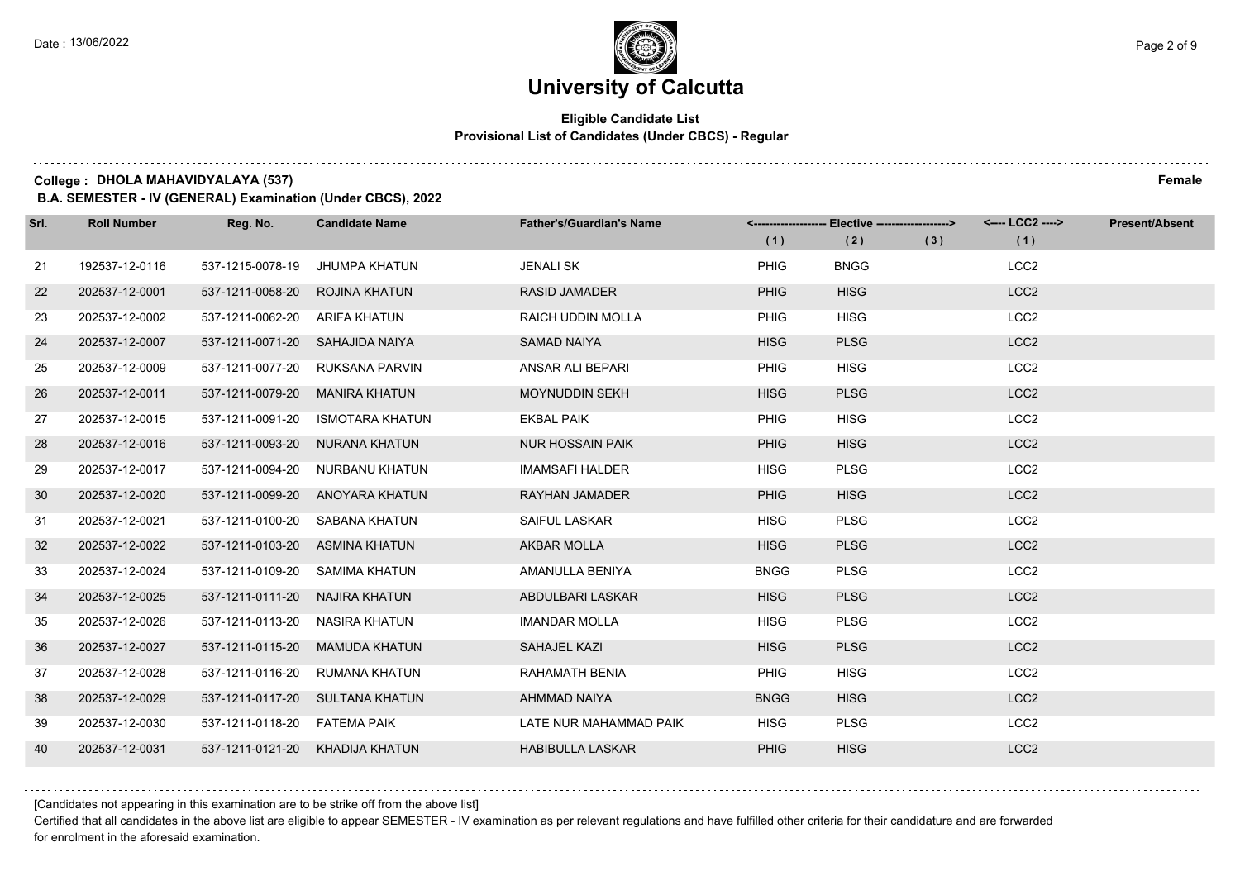# **University of Calcutta**

### **Eligible Candidate List Provisional List of Candidates (Under CBCS) - Regular**

**College : DHOLA MAHAVIDYALAYA (537) Female**

**B.A. SEMESTER - IV (GENERAL) Examination (Under CBCS), 2022**

| Srl. | <b>Roll Number</b> | Reg. No.                       | <b>Candidate Name</b>           | <b>Father's/Guardian's Name</b> | (1)         | <-------------------- Elective -------------------><br>(2) | (3) | <---- LCC2 ----><br>(1) | <b>Present/Absent</b> |
|------|--------------------|--------------------------------|---------------------------------|---------------------------------|-------------|------------------------------------------------------------|-----|-------------------------|-----------------------|
| 21   | 192537-12-0116     | 537-1215-0078-19               | JHUMPA KHATUN                   | <b>JENALI SK</b>                | <b>PHIG</b> | <b>BNGG</b>                                                |     | LCC <sub>2</sub>        |                       |
| 22   | 202537-12-0001     | 537-1211-0058-20               | ROJINA KHATUN                   | <b>RASID JAMADER</b>            | <b>PHIG</b> | <b>HISG</b>                                                |     | LCC <sub>2</sub>        |                       |
| 23   | 202537-12-0002     | 537-1211-0062-20 ARIFA KHATUN  |                                 | <b>RAICH UDDIN MOLLA</b>        | <b>PHIG</b> | <b>HISG</b>                                                |     | LCC <sub>2</sub>        |                       |
| 24   | 202537-12-0007     | 537-1211-0071-20               | SAHAJIDA NAIYA                  | <b>SAMAD NAIYA</b>              | <b>HISG</b> | <b>PLSG</b>                                                |     | LCC <sub>2</sub>        |                       |
| 25   | 202537-12-0009     | 537-1211-0077-20               | RUKSANA PARVIN                  | ANSAR ALI BEPARI                | PHIG        | <b>HISG</b>                                                |     | LCC <sub>2</sub>        |                       |
| 26   | 202537-12-0011     | 537-1211-0079-20               | <b>MANIRA KHATUN</b>            | <b>MOYNUDDIN SEKH</b>           | <b>HISG</b> | <b>PLSG</b>                                                |     | LCC <sub>2</sub>        |                       |
| 27   | 202537-12-0015     | 537-1211-0091-20               | ISMOTARA KHATUN                 | <b>EKBAL PAIK</b>               | PHIG        | <b>HISG</b>                                                |     | LCC <sub>2</sub>        |                       |
| 28   | 202537-12-0016     |                                | 537-1211-0093-20 NURANA KHATUN  | <b>NUR HOSSAIN PAIK</b>         | <b>PHIG</b> | <b>HISG</b>                                                |     | LCC <sub>2</sub>        |                       |
| 29   | 202537-12-0017     | 537-1211-0094-20               | NURBANU KHATUN                  | <b>IMAMSAFI HALDER</b>          | <b>HISG</b> | <b>PLSG</b>                                                |     | LCC <sub>2</sub>        |                       |
| 30   | 202537-12-0020     | 537-1211-0099-20               | ANOYARA KHATUN                  | <b>RAYHAN JAMADER</b>           | <b>PHIG</b> | <b>HISG</b>                                                |     | LCC <sub>2</sub>        |                       |
| 31   | 202537-12-0021     |                                | 537-1211-0100-20 SABANA KHATUN  | SAIFUL LASKAR                   | <b>HISG</b> | <b>PLSG</b>                                                |     | LCC <sub>2</sub>        |                       |
| 32   | 202537-12-0022     | 537-1211-0103-20 ASMINA KHATUN |                                 | <b>AKBAR MOLLA</b>              | <b>HISG</b> | <b>PLSG</b>                                                |     | LCC <sub>2</sub>        |                       |
| 33   | 202537-12-0024     | 537-1211-0109-20               | SAMIMA KHATUN                   | AMANULLA BENIYA                 | <b>BNGG</b> | <b>PLSG</b>                                                |     | LCC <sub>2</sub>        |                       |
| 34   | 202537-12-0025     | 537-1211-0111-20               | NAJIRA KHATUN                   | ABDULBARI LASKAR                | <b>HISG</b> | <b>PLSG</b>                                                |     | LCC <sub>2</sub>        |                       |
| 35   | 202537-12-0026     | 537-1211-0113-20 NASIRA KHATUN |                                 | <b>IMANDAR MOLLA</b>            | <b>HISG</b> | <b>PLSG</b>                                                |     | LCC <sub>2</sub>        |                       |
| 36   | 202537-12-0027     | 537-1211-0115-20               | <b>MAMUDA KHATUN</b>            | SAHAJEL KAZI                    | <b>HISG</b> | <b>PLSG</b>                                                |     | LCC <sub>2</sub>        |                       |
| 37   | 202537-12-0028     | 537-1211-0116-20               | <b>RUMANA KHATUN</b>            | RAHAMATH BENIA                  | PHIG        | <b>HISG</b>                                                |     | LCC <sub>2</sub>        |                       |
| 38   | 202537-12-0029     |                                | 537-1211-0117-20 SULTANA KHATUN | AHMMAD NAIYA                    | <b>BNGG</b> | <b>HISG</b>                                                |     | LCC <sub>2</sub>        |                       |
| 39   | 202537-12-0030     | 537-1211-0118-20 FATEMA PAIK   |                                 | LATE NUR MAHAMMAD PAIK          | <b>HISG</b> | <b>PLSG</b>                                                |     | LCC <sub>2</sub>        |                       |
| 40   | 202537-12-0031     |                                | 537-1211-0121-20 KHADIJA KHATUN | <b>HABIBULLA LASKAR</b>         | PHIG        | <b>HISG</b>                                                |     | LCC <sub>2</sub>        |                       |

[Candidates not appearing in this examination are to be strike off from the above list]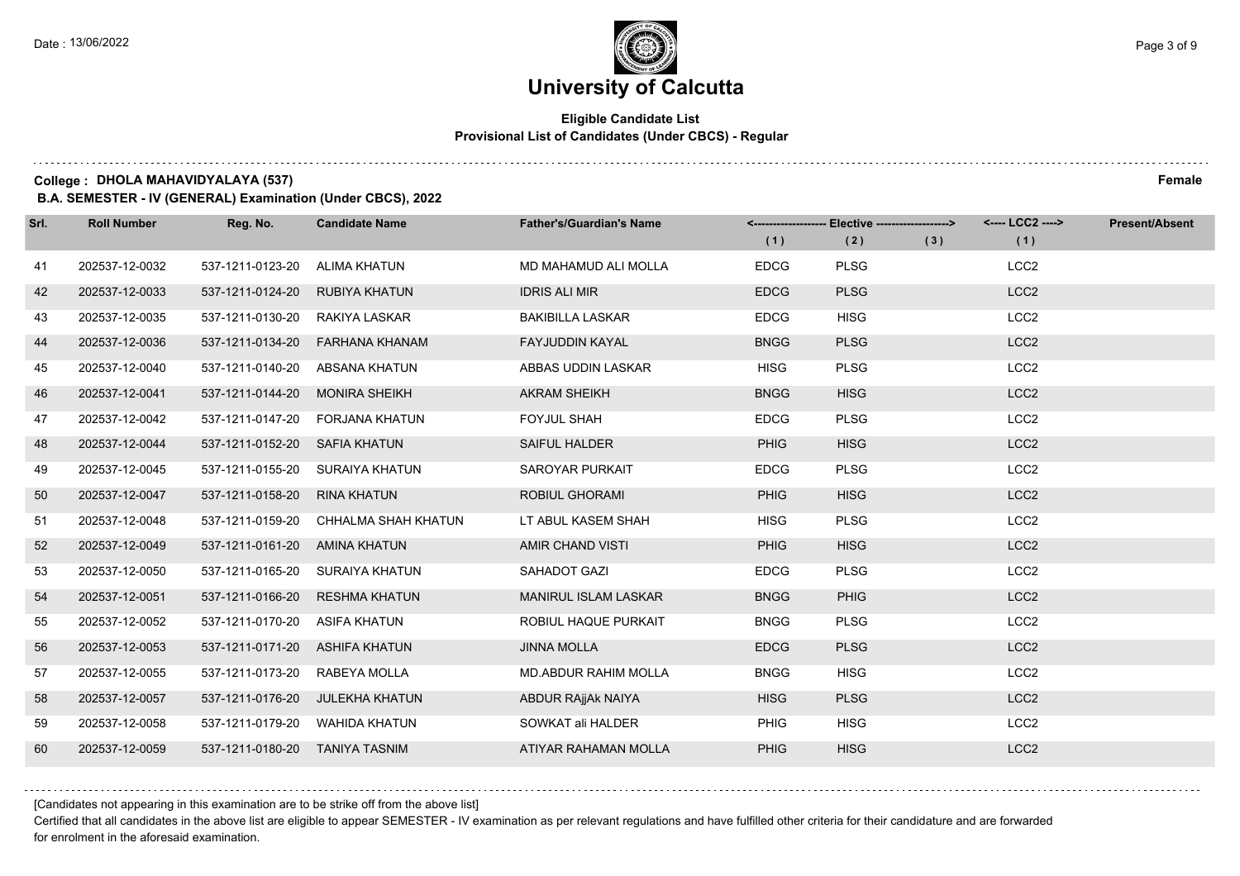# **University of Calcutta**

### **Eligible Candidate List Provisional List of Candidates (Under CBCS) - Regular**

**College : DHOLA MAHAVIDYALAYA (537) Female**

**B.A. SEMESTER - IV (GENERAL) Examination (Under CBCS), 2022**

| Srl. | <b>Roll Number</b> | Reg. No.                       | <b>Candidate Name</b>                | <b>Father's/Guardian's Name</b> | (1)         | <------------------- Elective -------------------><br>(2) | (3) | <---- LCC2 ----><br>(1) | <b>Present/Absent</b> |
|------|--------------------|--------------------------------|--------------------------------------|---------------------------------|-------------|-----------------------------------------------------------|-----|-------------------------|-----------------------|
| 41   | 202537-12-0032     | 537-1211-0123-20               | ALIMA KHATUN                         | MD MAHAMUD ALI MOLLA            | <b>EDCG</b> | <b>PLSG</b>                                               |     | LCC <sub>2</sub>        |                       |
| 42   | 202537-12-0033     | 537-1211-0124-20               | RUBIYA KHATUN                        | <b>IDRIS ALI MIR</b>            | <b>EDCG</b> | <b>PLSG</b>                                               |     | LCC <sub>2</sub>        |                       |
| 43   | 202537-12-0035     | 537-1211-0130-20               | RAKIYA LASKAR                        | <b>BAKIBILLA LASKAR</b>         | <b>EDCG</b> | <b>HISG</b>                                               |     | LCC <sub>2</sub>        |                       |
| 44   | 202537-12-0036     | 537-1211-0134-20               | FARHANA KHANAM                       | <b>FAYJUDDIN KAYAL</b>          | <b>BNGG</b> | <b>PLSG</b>                                               |     | LCC <sub>2</sub>        |                       |
| 45   | 202537-12-0040     | 537-1211-0140-20               | ABSANA KHATUN                        | ABBAS UDDIN LASKAR              | <b>HISG</b> | <b>PLSG</b>                                               |     | LCC <sub>2</sub>        |                       |
| 46   | 202537-12-0041     | 537-1211-0144-20               | <b>MONIRA SHEIKH</b>                 | <b>AKRAM SHEIKH</b>             | <b>BNGG</b> | <b>HISG</b>                                               |     | LCC <sub>2</sub>        |                       |
| 47   | 202537-12-0042     | 537-1211-0147-20               | FORJANA KHATUN                       | <b>FOYJUL SHAH</b>              | <b>EDCG</b> | <b>PLSG</b>                                               |     | LCC <sub>2</sub>        |                       |
| 48   | 202537-12-0044     | 537-1211-0152-20 SAFIA KHATUN  |                                      | <b>SAIFUL HALDER</b>            | PHIG        | <b>HISG</b>                                               |     | LCC <sub>2</sub>        |                       |
| 49   | 202537-12-0045     | 537-1211-0155-20               | SURAIYA KHATUN                       | SAROYAR PURKAIT                 | <b>EDCG</b> | <b>PLSG</b>                                               |     | LCC <sub>2</sub>        |                       |
| 50   | 202537-12-0047     | 537-1211-0158-20               | <b>RINA KHATUN</b>                   | <b>ROBIUL GHORAMI</b>           | PHIG        | <b>HISG</b>                                               |     | LCC <sub>2</sub>        |                       |
| 51   | 202537-12-0048     |                                | 537-1211-0159-20 CHHALMA SHAH KHATUN | LT ABUL KASEM SHAH              | <b>HISG</b> | <b>PLSG</b>                                               |     | LCC <sub>2</sub>        |                       |
| 52   | 202537-12-0049     | 537-1211-0161-20 AMINA KHATUN  |                                      | AMIR CHAND VISTI                | PHIG        | <b>HISG</b>                                               |     | LCC <sub>2</sub>        |                       |
| 53   | 202537-12-0050     | 537-1211-0165-20               | SURAIYA KHATUN                       | <b>SAHADOT GAZI</b>             | <b>EDCG</b> | <b>PLSG</b>                                               |     | LCC <sub>2</sub>        |                       |
| 54   | 202537-12-0051     | 537-1211-0166-20               | <b>RESHMA KHATUN</b>                 | <b>MANIRUL ISLAM LASKAR</b>     | <b>BNGG</b> | PHIG                                                      |     | LCC <sub>2</sub>        |                       |
| 55   | 202537-12-0052     | 537-1211-0170-20               | ASIFA KHATUN                         | ROBIUL HAQUE PURKAIT            | <b>BNGG</b> | <b>PLSG</b>                                               |     | LCC <sub>2</sub>        |                       |
| 56   | 202537-12-0053     | 537-1211-0171-20               | ASHIFA KHATUN                        | <b>JINNA MOLLA</b>              | <b>EDCG</b> | <b>PLSG</b>                                               |     | LCC <sub>2</sub>        |                       |
| 57   | 202537-12-0055     | 537-1211-0173-20               | RABEYA MOLLA                         | <b>MD.ABDUR RAHIM MOLLA</b>     | <b>BNGG</b> | <b>HISG</b>                                               |     | LCC <sub>2</sub>        |                       |
| 58   | 202537-12-0057     | 537-1211-0176-20               | JULEKHA KHATUN                       | ABDUR RAjjAk NAIYA              | <b>HISG</b> | <b>PLSG</b>                                               |     | LCC <sub>2</sub>        |                       |
| 59   | 202537-12-0058     |                                | 537-1211-0179-20 WAHIDA KHATUN       | SOWKAT ali HALDER               | PHIG        | <b>HISG</b>                                               |     | LCC <sub>2</sub>        |                       |
| 60   | 202537-12-0059     | 537-1211-0180-20 TANIYA TASNIM |                                      | ATIYAR RAHAMAN MOLLA            | PHIG        | <b>HISG</b>                                               |     | LCC <sub>2</sub>        |                       |

[Candidates not appearing in this examination are to be strike off from the above list]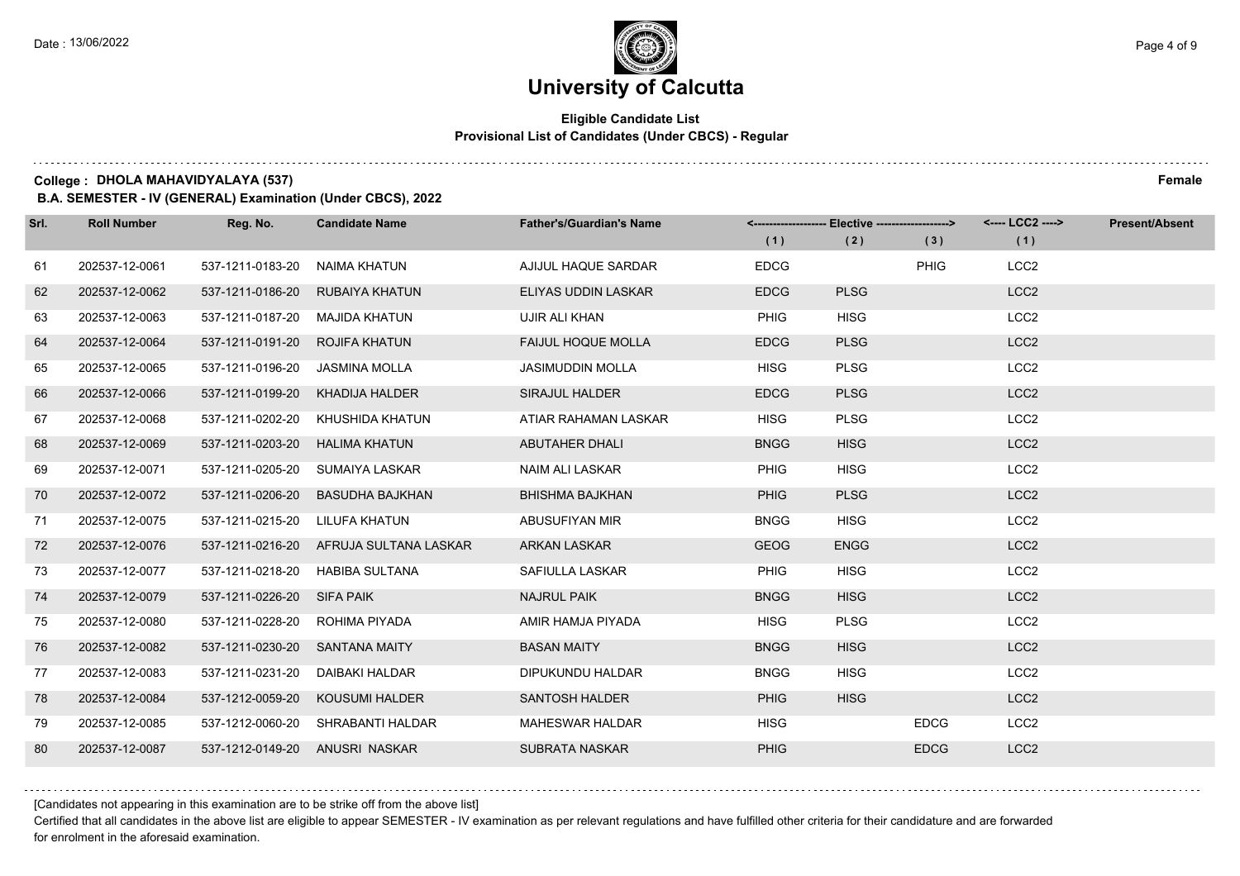$1.111$ 

# **University of Calcutta**

### **Eligible Candidate List Provisional List of Candidates (Under CBCS) - Regular**

**College : DHOLA MAHAVIDYALAYA (537) Female**

**B.A. SEMESTER - IV (GENERAL) Examination (Under CBCS), 2022**

| Srl. | <b>Roll Number</b> | Reg. No.                       | <b>Candidate Name</b>                  | <b>Father's/Guardian's Name</b> | (1)         | <-------------------- Elective ------------------><br>(2) | (3)         | <---- LCC2 ----><br>(1) | <b>Present/Absent</b> |
|------|--------------------|--------------------------------|----------------------------------------|---------------------------------|-------------|-----------------------------------------------------------|-------------|-------------------------|-----------------------|
| 61   | 202537-12-0061     | 537-1211-0183-20               | NAIMA KHATUN                           | AJIJUL HAQUE SARDAR             | <b>EDCG</b> |                                                           | <b>PHIG</b> | LCC <sub>2</sub>        |                       |
| 62   | 202537-12-0062     | 537-1211-0186-20               | <b>RUBAIYA KHATUN</b>                  | ELIYAS UDDIN LASKAR             | <b>EDCG</b> | <b>PLSG</b>                                               |             | LCC <sub>2</sub>        |                       |
| 63   | 202537-12-0063     | 537-1211-0187-20               | MAJIDA KHATUN                          | UJIR ALI KHAN                   | <b>PHIG</b> | <b>HISG</b>                                               |             | LCC <sub>2</sub>        |                       |
| 64   | 202537-12-0064     | 537-1211-0191-20               | ROJIFA KHATUN                          | <b>FAIJUL HOQUE MOLLA</b>       | <b>EDCG</b> | <b>PLSG</b>                                               |             | LCC <sub>2</sub>        |                       |
| 65   | 202537-12-0065     | 537-1211-0196-20               | JASMINA MOLLA                          | <b>JASIMUDDIN MOLLA</b>         | <b>HISG</b> | <b>PLSG</b>                                               |             | LCC <sub>2</sub>        |                       |
| 66   | 202537-12-0066     | 537-1211-0199-20               | KHADIJA HALDER                         | <b>SIRAJUL HALDER</b>           | <b>EDCG</b> | <b>PLSG</b>                                               |             | LCC <sub>2</sub>        |                       |
| 67   | 202537-12-0068     | 537-1211-0202-20               | KHUSHIDA KHATUN                        | ATIAR RAHAMAN LASKAR            | <b>HISG</b> | <b>PLSG</b>                                               |             | LCC <sub>2</sub>        |                       |
| 68   | 202537-12-0069     | 537-1211-0203-20               | <b>HALIMA KHATUN</b>                   | <b>ABUTAHER DHALI</b>           | <b>BNGG</b> | <b>HISG</b>                                               |             | LCC <sub>2</sub>        |                       |
| 69   | 202537-12-0071     | 537-1211-0205-20               | SUMAIYA LASKAR                         | <b>NAIM ALI LASKAR</b>          | PHIG        | <b>HISG</b>                                               |             | LCC <sub>2</sub>        |                       |
| 70   | 202537-12-0072     | 537-1211-0206-20               | BASUDHA BAJKHAN                        | <b>BHISHMA BAJKHAN</b>          | PHIG        | <b>PLSG</b>                                               |             | LCC <sub>2</sub>        |                       |
| 71   | 202537-12-0075     | 537-1211-0215-20               | LILUFA KHATUN                          | ABUSUFIYAN MIR                  | <b>BNGG</b> | <b>HISG</b>                                               |             | LCC <sub>2</sub>        |                       |
| 72   | 202537-12-0076     |                                | 537-1211-0216-20 AFRUJA SULTANA LASKAR | ARKAN LASKAR                    | <b>GEOG</b> | <b>ENGG</b>                                               |             | LCC <sub>2</sub>        |                       |
| 73   | 202537-12-0077     | 537-1211-0218-20               | HABIBA SULTANA                         | SAFIULLA LASKAR                 | PHIG        | <b>HISG</b>                                               |             | LCC <sub>2</sub>        |                       |
| 74   | 202537-12-0079     | 537-1211-0226-20 SIFA PAIK     |                                        | <b>NAJRUL PAIK</b>              | <b>BNGG</b> | <b>HISG</b>                                               |             | LCC <sub>2</sub>        |                       |
| 75   | 202537-12-0080     | 537-1211-0228-20               | ROHIMA PIYADA                          | AMIR HAMJA PIYADA               | <b>HISG</b> | <b>PLSG</b>                                               |             | LCC <sub>2</sub>        |                       |
| 76   | 202537-12-0082     | 537-1211-0230-20               | <b>SANTANA MAITY</b>                   | <b>BASAN MAITY</b>              | <b>BNGG</b> | <b>HISG</b>                                               |             | LCC <sub>2</sub>        |                       |
| 77   | 202537-12-0083     | 537-1211-0231-20               | DAIBAKI HALDAR                         | DIPUKUNDU HALDAR                | <b>BNGG</b> | <b>HISG</b>                                               |             | LCC <sub>2</sub>        |                       |
| 78   | 202537-12-0084     | 537-1212-0059-20               | <b>KOUSUMI HALDER</b>                  | <b>SANTOSH HALDER</b>           | <b>PHIG</b> | <b>HISG</b>                                               |             | LCC <sub>2</sub>        |                       |
| 79   | 202537-12-0085     |                                | 537-1212-0060-20 SHRABANTI HALDAR      | <b>MAHESWAR HALDAR</b>          | <b>HISG</b> |                                                           | <b>EDCG</b> | LCC <sub>2</sub>        |                       |
| 80   | 202537-12-0087     | 537-1212-0149-20 ANUSRI NASKAR |                                        | <b>SUBRATA NASKAR</b>           | <b>PHIG</b> |                                                           | <b>EDCG</b> | LCC <sub>2</sub>        |                       |

[Candidates not appearing in this examination are to be strike off from the above list]

Certified that all candidates in the above list are eligible to appear SEMESTER - IV examination as per relevant regulations and have fulfilled other criteria for their candidature and are forwarded for enrolment in the aforesaid examination.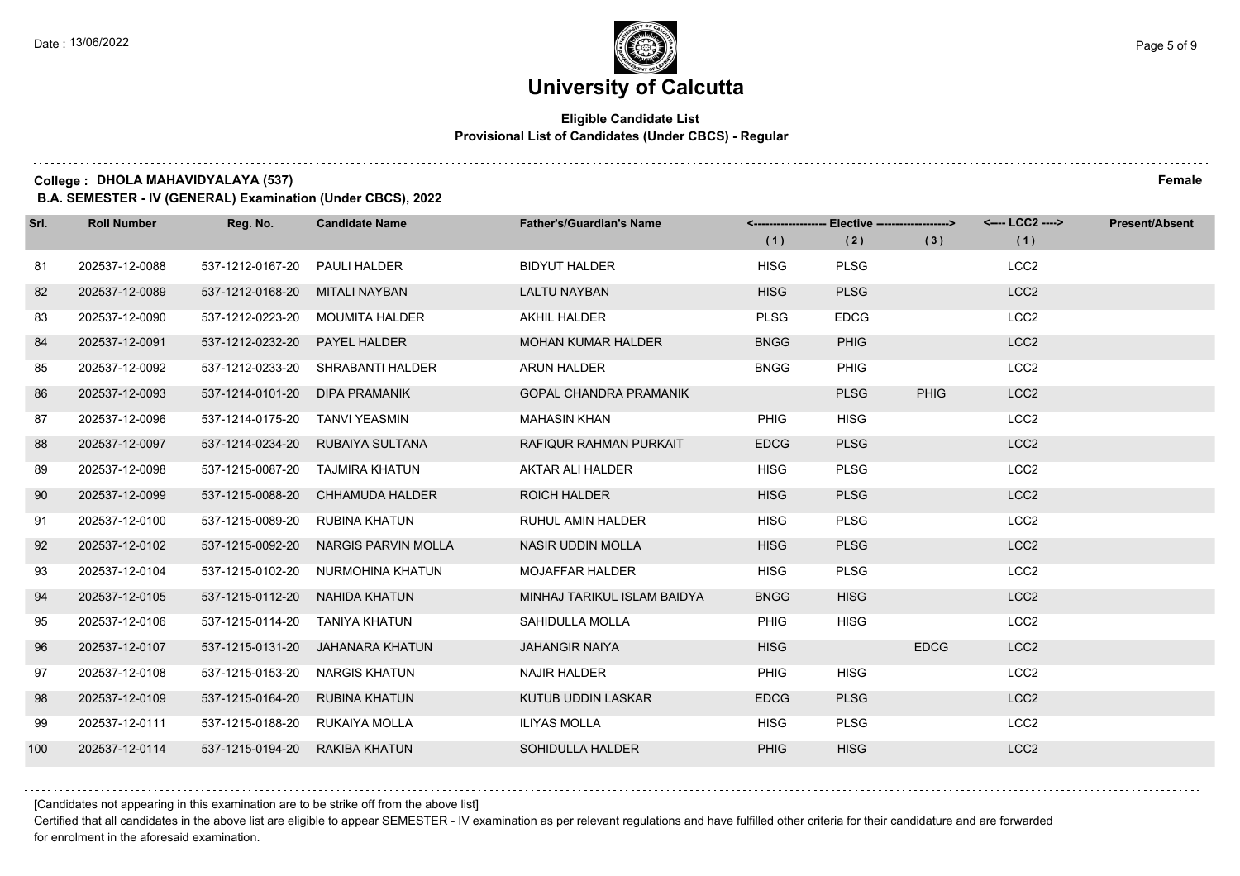### **Eligible Candidate List Provisional List of Candidates (Under CBCS) - Regular**

**College : DHOLA MAHAVIDYALAYA (537) Female**

**B.A. SEMESTER - IV (GENERAL) Examination (Under CBCS), 2022**

| Srl. | <b>Roll Number</b> | Reg. No.                       | <b>Candidate Name</b>            | <b>Father's/Guardian's Name</b> | (1)         | <-------------------- Elective ------------------><br>(2) | (3)         | <---- LCC2 ----><br>(1) | <b>Present/Absent</b> |
|------|--------------------|--------------------------------|----------------------------------|---------------------------------|-------------|-----------------------------------------------------------|-------------|-------------------------|-----------------------|
| 81   | 202537-12-0088     | 537-1212-0167-20               | <b>PAULI HALDER</b>              | <b>BIDYUT HALDER</b>            | <b>HISG</b> | <b>PLSG</b>                                               |             | LCC <sub>2</sub>        |                       |
| 82   | 202537-12-0089     | 537-1212-0168-20               | <b>MITALI NAYBAN</b>             | <b>LALTU NAYBAN</b>             | <b>HISG</b> | <b>PLSG</b>                                               |             | LCC <sub>2</sub>        |                       |
| 83   | 202537-12-0090     | 537-1212-0223-20               | <b>MOUMITA HALDER</b>            | AKHIL HALDER                    | <b>PLSG</b> | <b>EDCG</b>                                               |             | LCC <sub>2</sub>        |                       |
| 84   | 202537-12-0091     | 537-1212-0232-20               | <b>PAYEL HALDER</b>              | <b>MOHAN KUMAR HALDER</b>       | <b>BNGG</b> | <b>PHIG</b>                                               |             | LCC <sub>2</sub>        |                       |
| 85   | 202537-12-0092     | 537-1212-0233-20               | SHRABANTI HALDER                 | ARUN HALDER                     | <b>BNGG</b> | <b>PHIG</b>                                               |             | LCC <sub>2</sub>        |                       |
| 86   | 202537-12-0093     | 537-1214-0101-20               | DIPA PRAMANIK                    | <b>GOPAL CHANDRA PRAMANIK</b>   |             | <b>PLSG</b>                                               | <b>PHIG</b> | LCC <sub>2</sub>        |                       |
| 87   | 202537-12-0096     | 537-1214-0175-20               | TANVI YEASMIN                    | <b>MAHASIN KHAN</b>             | <b>PHIG</b> | <b>HISG</b>                                               |             | LCC <sub>2</sub>        |                       |
| 88   | 202537-12-0097     | 537-1214-0234-20               | RUBAIYA SULTANA                  | RAFIQUR RAHMAN PURKAIT          | <b>EDCG</b> | <b>PLSG</b>                                               |             | LCC <sub>2</sub>        |                       |
| 89   | 202537-12-0098     | 537-1215-0087-20               | TAJMIRA KHATUN                   | AKTAR ALI HALDER                | <b>HISG</b> | <b>PLSG</b>                                               |             | LCC <sub>2</sub>        |                       |
| 90   | 202537-12-0099     | 537-1215-0088-20               | <b>CHHAMUDA HALDER</b>           | <b>ROICH HALDER</b>             | <b>HISG</b> | <b>PLSG</b>                                               |             | LCC <sub>2</sub>        |                       |
| 91   | 202537-12-0100     | 537-1215-0089-20               | RUBINA KHATUN                    | <b>RUHUL AMIN HALDER</b>        | <b>HISG</b> | <b>PLSG</b>                                               |             | LCC <sub>2</sub>        |                       |
| 92   | 202537-12-0102     | 537-1215-0092-20               | <b>NARGIS PARVIN MOLLA</b>       | <b>NASIR UDDIN MOLLA</b>        | <b>HISG</b> | <b>PLSG</b>                                               |             | LCC <sub>2</sub>        |                       |
| 93   | 202537-12-0104     | 537-1215-0102-20               | NURMOHINA KHATUN                 | <b>MOJAFFAR HALDER</b>          | <b>HISG</b> | <b>PLSG</b>                                               |             | LCC <sub>2</sub>        |                       |
| 94   | 202537-12-0105     | 537-1215-0112-20               | NAHIDA KHATUN                    | MINHAJ TARIKUL ISLAM BAIDYA     | <b>BNGG</b> | <b>HISG</b>                                               |             | LCC <sub>2</sub>        |                       |
| 95   | 202537-12-0106     | 537-1215-0114-20               | TANIYA KHATUN                    | SAHIDULLA MOLLA                 | <b>PHIG</b> | <b>HISG</b>                                               |             | LCC <sub>2</sub>        |                       |
| 96   | 202537-12-0107     |                                | 537-1215-0131-20 JAHANARA KHATUN | <b>JAHANGIR NAIYA</b>           | <b>HISG</b> |                                                           | <b>EDCG</b> | LCC <sub>2</sub>        |                       |
| 97   | 202537-12-0108     | 537-1215-0153-20               | NARGIS KHATUN                    | <b>NAJIR HALDER</b>             | <b>PHIG</b> | <b>HISG</b>                                               |             | LCC <sub>2</sub>        |                       |
| 98   | 202537-12-0109     | 537-1215-0164-20               | <b>RUBINA KHATUN</b>             | KUTUB UDDIN LASKAR              | <b>EDCG</b> | <b>PLSG</b>                                               |             | LCC <sub>2</sub>        |                       |
| 99   | 202537-12-0111     | 537-1215-0188-20 RUKAIYA MOLLA |                                  | ILIYAS MOLLA                    | <b>HISG</b> | <b>PLSG</b>                                               |             | LCC <sub>2</sub>        |                       |
| 100  | 202537-12-0114     | 537-1215-0194-20               | RAKIBA KHATUN                    | SOHIDULLA HALDER                | <b>PHIG</b> | <b>HISG</b>                                               |             | LCC <sub>2</sub>        |                       |

[Candidates not appearing in this examination are to be strike off from the above list]

Certified that all candidates in the above list are eligible to appear SEMESTER - IV examination as per relevant regulations and have fulfilled other criteria for their candidature and are forwarded for enrolment in the aforesaid examination.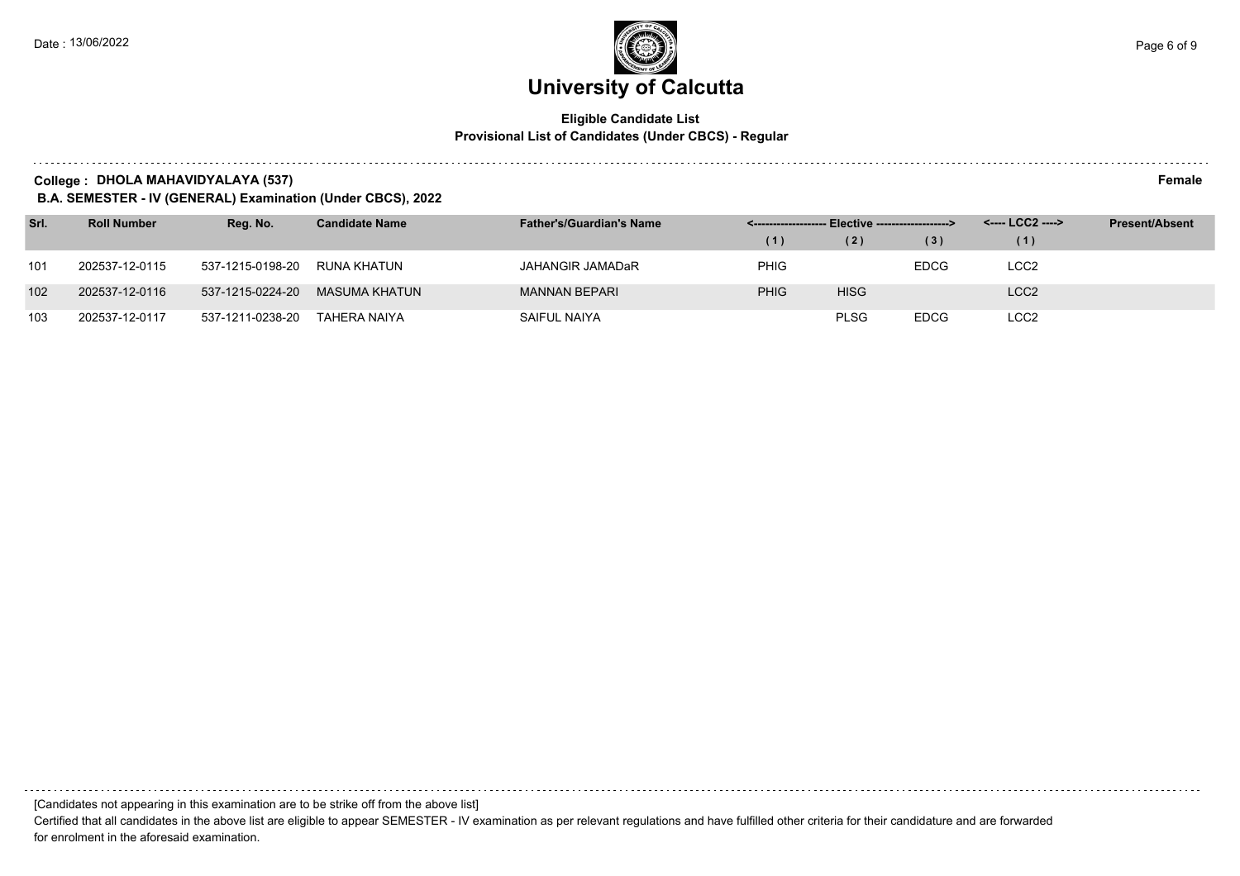### **Eligible Candidate List Provisional List of Candidates (Under CBCS) - Regular**

**College : DHOLA MAHAVIDYALAYA (537) Female**

**B.A. SEMESTER - IV (GENERAL) Examination (Under CBCS), 2022**

| Srl. | <b>Roll Number</b> | Reg. No.         | <b>Candidate Name</b> | <b>Father's/Guardian's Name</b> | <------------------- Elective ------------------> |             |             | <---- LCC2 ----> | <b>Present/Absent</b> |
|------|--------------------|------------------|-----------------------|---------------------------------|---------------------------------------------------|-------------|-------------|------------------|-----------------------|
|      |                    |                  |                       |                                 | (1)                                               | (2)         | (3)         | (1)              |                       |
| 101  | 202537-12-0115     | 537-1215-0198-20 | RUNA KHATUN           | JAHANGIR JAMADaR                | <b>PHIG</b>                                       |             | <b>EDCG</b> | LCC2             |                       |
| 102  | 202537-12-0116     | 537-1215-0224-20 | MASUMA KHATUN         | <b>MANNAN BEPARI</b>            | <b>PHIG</b>                                       | <b>HISG</b> |             | LCC <sub>2</sub> |                       |
| 103  | 202537-12-0117     | 537-1211-0238-20 | TAHERA NAIYA          | SAIFUL NAIYA                    |                                                   | <b>PLSG</b> | <b>EDCG</b> | LCC <sub>2</sub> |                       |

[Candidates not appearing in this examination are to be strike off from the above list]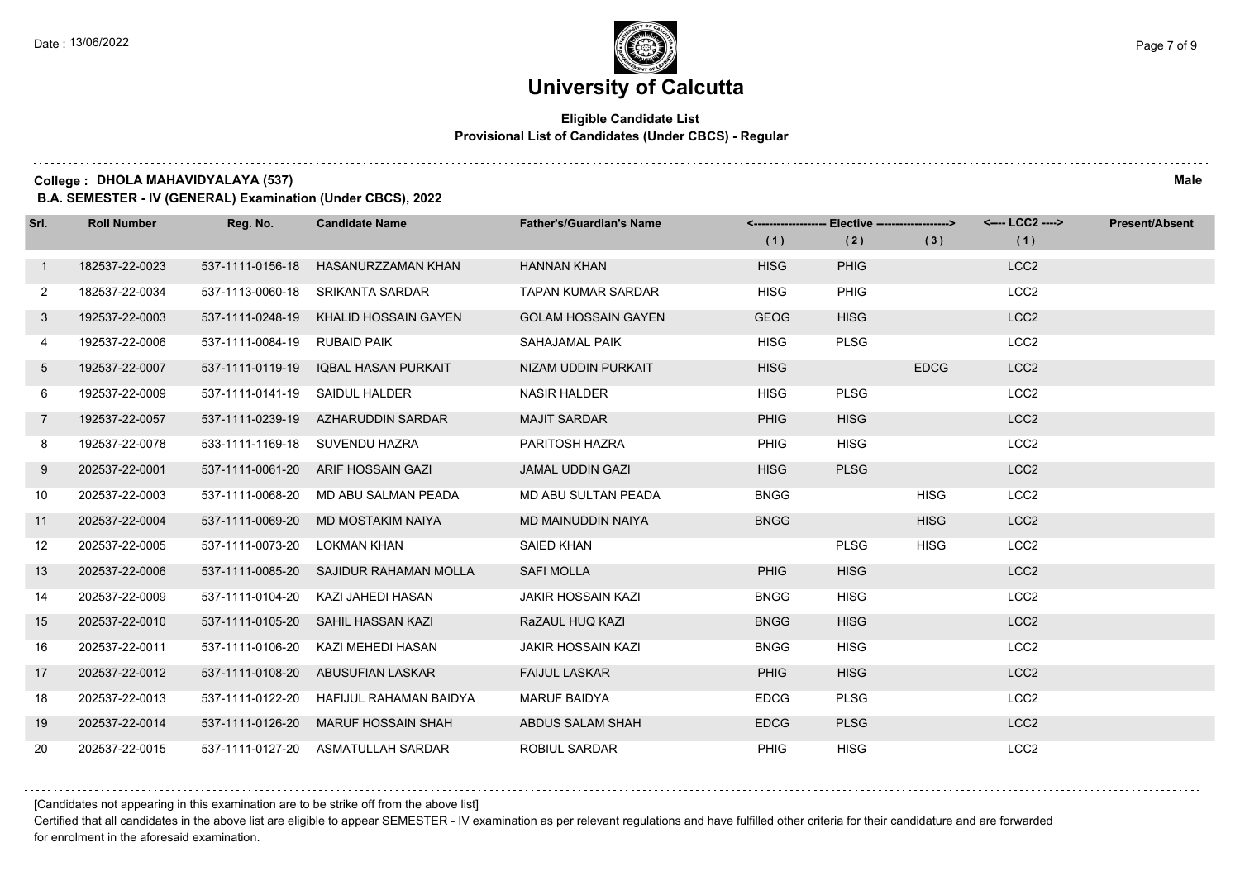### **Eligible Candidate List Provisional List of Candidates (Under CBCS) - Regular**

**College : DHOLA MAHAVIDYALAYA (537) Male**

**B.A. SEMESTER - IV (GENERAL) Examination (Under CBCS), 2022**

| Srl.           | <b>Roll Number</b> | Reg. No.         | <b>Candidate Name</b>                  | <b>Father's/Guardian's Name</b> | (1)         | <-------------------- Elective ------------------><br>(2) | (3)         | <---- LCC2 ----><br>(1) | <b>Present/Absent</b> |
|----------------|--------------------|------------------|----------------------------------------|---------------------------------|-------------|-----------------------------------------------------------|-------------|-------------------------|-----------------------|
| $\mathbf{1}$   | 182537-22-0023     | 537-1111-0156-18 | HASANURZZAMAN KHAN                     | <b>HANNAN KHAN</b>              | <b>HISG</b> | <b>PHIG</b>                                               |             | LCC <sub>2</sub>        |                       |
| $\mathbf{2}$   | 182537-22-0034     | 537-1113-0060-18 | SRIKANTA SARDAR                        | <b>TAPAN KUMAR SARDAR</b>       | <b>HISG</b> | <b>PHIG</b>                                               |             | LCC <sub>2</sub>        |                       |
| 3              | 192537-22-0003     | 537-1111-0248-19 | KHALID HOSSAIN GAYEN                   | <b>GOLAM HOSSAIN GAYEN</b>      | <b>GEOG</b> | <b>HISG</b>                                               |             | LCC <sub>2</sub>        |                       |
| 4              | 192537-22-0006     | 537-1111-0084-19 | <b>RUBAID PAIK</b>                     | SAHAJAMAL PAIK                  | <b>HISG</b> | <b>PLSG</b>                                               |             | LCC <sub>2</sub>        |                       |
| 5              | 192537-22-0007     | 537-1111-0119-19 | <b>IQBAL HASAN PURKAIT</b>             | NIZAM UDDIN PURKAIT             | <b>HISG</b> |                                                           | <b>EDCG</b> | LCC <sub>2</sub>        |                       |
| 6              | 192537-22-0009     | 537-1111-0141-19 | <b>SAIDUL HALDER</b>                   | <b>NASIR HALDER</b>             | <b>HISG</b> | <b>PLSG</b>                                               |             | LCC <sub>2</sub>        |                       |
| $\overline{7}$ | 192537-22-0057     |                  | 537-1111-0239-19 AZHARUDDIN SARDAR     | <b>MAJIT SARDAR</b>             | <b>PHIG</b> | <b>HISG</b>                                               |             | LCC <sub>2</sub>        |                       |
| 8              | 192537-22-0078     |                  | 533-1111-1169-18 SUVENDU HAZRA         | PARITOSH HAZRA                  | <b>PHIG</b> | <b>HISG</b>                                               |             | LCC <sub>2</sub>        |                       |
| 9              | 202537-22-0001     |                  | 537-1111-0061-20 ARIF HOSSAIN GAZI     | <b>JAMAL UDDIN GAZI</b>         | <b>HISG</b> | <b>PLSG</b>                                               |             | LCC <sub>2</sub>        |                       |
| 10             | 202537-22-0003     | 537-1111-0068-20 | MD ABU SALMAN PEADA                    | MD ABU SULTAN PEADA             | <b>BNGG</b> |                                                           | <b>HISG</b> | LCC <sub>2</sub>        |                       |
| 11             | 202537-22-0004     | 537-1111-0069-20 | MD MOSTAKIM NAIYA                      | <b>MD MAINUDDIN NAIYA</b>       | <b>BNGG</b> |                                                           | <b>HISG</b> | LCC <sub>2</sub>        |                       |
| 12             | 202537-22-0005     | 537-1111-0073-20 | LOKMAN KHAN                            | <b>SAIED KHAN</b>               |             | <b>PLSG</b>                                               | <b>HISG</b> | LCC <sub>2</sub>        |                       |
| 13             | 202537-22-0006     |                  | 537-1111-0085-20 SAJIDUR RAHAMAN MOLLA | <b>SAFI MOLLA</b>               | <b>PHIG</b> | <b>HISG</b>                                               |             | LCC <sub>2</sub>        |                       |
| 14             | 202537-22-0009     | 537-1111-0104-20 | KAZI JAHEDI HASAN                      | <b>JAKIR HOSSAIN KAZI</b>       | <b>BNGG</b> | <b>HISG</b>                                               |             | LCC <sub>2</sub>        |                       |
| 15             | 202537-22-0010     | 537-1111-0105-20 | SAHIL HASSAN KAZI                      | RaZAUL HUQ KAZI                 | <b>BNGG</b> | <b>HISG</b>                                               |             | LCC <sub>2</sub>        |                       |
| 16             | 202537-22-0011     | 537-1111-0106-20 | KAZI MEHEDI HASAN                      | <b>JAKIR HOSSAIN KAZI</b>       | <b>BNGG</b> | <b>HISG</b>                                               |             | LCC <sub>2</sub>        |                       |
| 17             | 202537-22-0012     |                  | 537-1111-0108-20 ABUSUFIAN LASKAR      | <b>FAIJUL LASKAR</b>            | <b>PHIG</b> | <b>HISG</b>                                               |             | LCC <sub>2</sub>        |                       |
| 18             | 202537-22-0013     | 537-1111-0122-20 | <b>HAFIJUL RAHAMAN BAIDYA</b>          | <b>MARUF BAIDYA</b>             | <b>EDCG</b> | <b>PLSG</b>                                               |             | LCC <sub>2</sub>        |                       |
| 19             | 202537-22-0014     | 537-1111-0126-20 | <b>MARUF HOSSAIN SHAH</b>              | ABDUS SALAM SHAH                | <b>EDCG</b> | <b>PLSG</b>                                               |             | LCC <sub>2</sub>        |                       |
| 20             | 202537-22-0015     |                  | 537-1111-0127-20 ASMATULLAH SARDAR     | <b>ROBIUL SARDAR</b>            | <b>PHIG</b> | <b>HISG</b>                                               |             | LCC <sub>2</sub>        |                       |

[Candidates not appearing in this examination are to be strike off from the above list]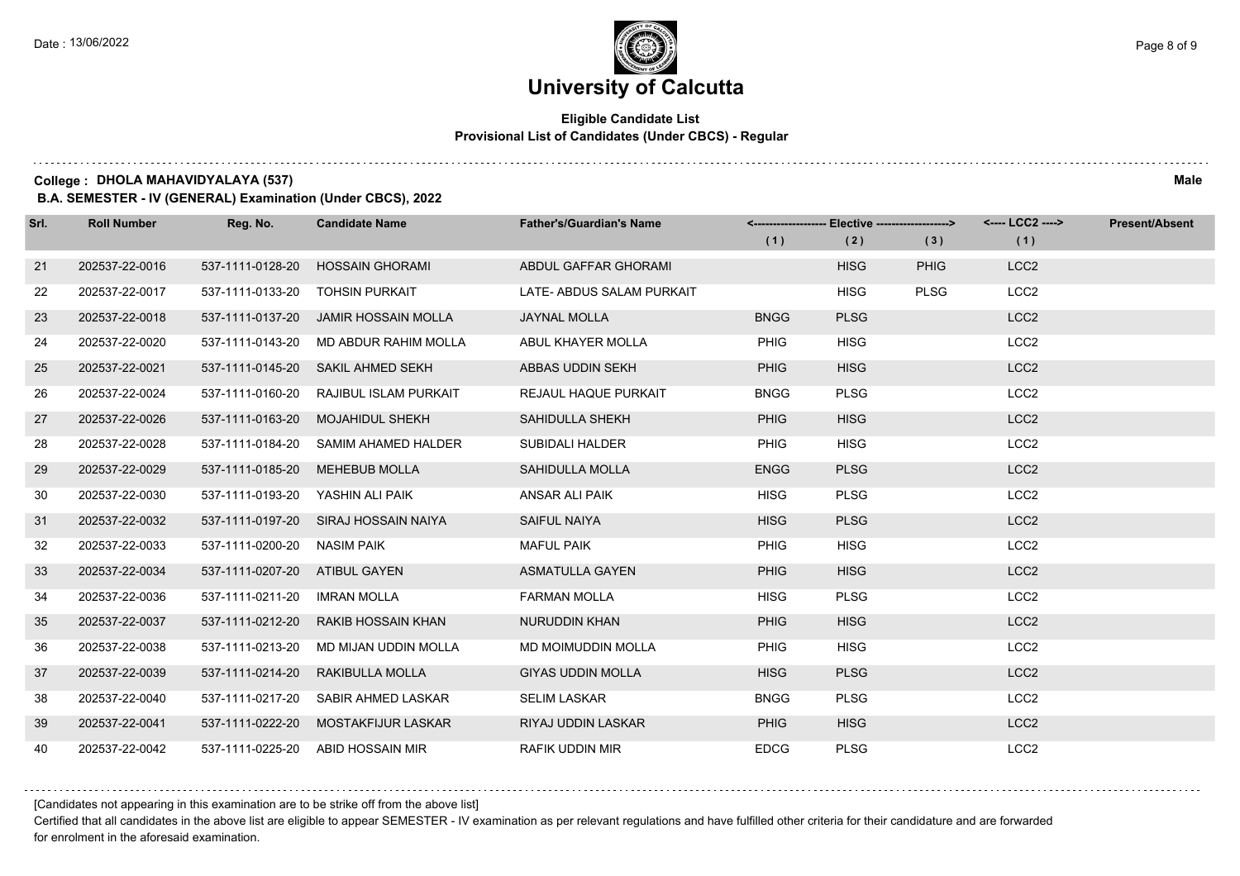### **Eligible Candidate List Provisional List of Candidates (Under CBCS) - Regular**

**College : DHOLA MAHAVIDYALAYA (537) Male**

**B.A. SEMESTER - IV (GENERAL) Examination (Under CBCS), 2022**

| Srl. | <b>Roll Number</b> | Reg. No.                      | <b>Candidate Name</b>                | <b>Father's/Guardian's Name</b> | (1)         | <-------------------- Elective ------------------><br>(2) | (3)         | <---- LCC2 ----><br>(1) | <b>Present/Absent</b> |
|------|--------------------|-------------------------------|--------------------------------------|---------------------------------|-------------|-----------------------------------------------------------|-------------|-------------------------|-----------------------|
| 21   | 202537-22-0016     | 537-1111-0128-20              | <b>HOSSAIN GHORAMI</b>               | ABDUL GAFFAR GHORAMI            |             | <b>HISG</b>                                               | <b>PHIG</b> | LCC <sub>2</sub>        |                       |
| 22   | 202537-22-0017     | 537-1111-0133-20              | <b>TOHSIN PURKAIT</b>                | LATE- ABDUS SALAM PURKAIT       |             | <b>HISG</b>                                               | <b>PLSG</b> | LCC <sub>2</sub>        |                       |
| 23   | 202537-22-0018     | 537-1111-0137-20              | JAMIR HOSSAIN MOLLA                  | <b>JAYNAL MOLLA</b>             | <b>BNGG</b> | <b>PLSG</b>                                               |             | LCC <sub>2</sub>        |                       |
| 24   | 202537-22-0020     | 537-1111-0143-20              | MD ABDUR RAHIM MOLLA                 | ABUL KHAYER MOLLA               | <b>PHIG</b> | <b>HISG</b>                                               |             | LCC <sub>2</sub>        |                       |
| 25   | 202537-22-0021     | 537-1111-0145-20              | SAKIL AHMED SEKH                     | ABBAS UDDIN SEKH                | <b>PHIG</b> | <b>HISG</b>                                               |             | LCC <sub>2</sub>        |                       |
| 26   | 202537-22-0024     | 537-1111-0160-20              | RAJIBUL ISLAM PURKAIT                | <b>REJAUL HAQUE PURKAIT</b>     | <b>BNGG</b> | <b>PLSG</b>                                               |             | LCC <sub>2</sub>        |                       |
| 27   | 202537-22-0026     | 537-1111-0163-20              | <b>MOJAHIDUL SHEKH</b>               | SAHIDULLA SHEKH                 | <b>PHIG</b> | <b>HISG</b>                                               |             | LCC <sub>2</sub>        |                       |
| 28   | 202537-22-0028     | 537-1111-0184-20              | SAMIM AHAMED HALDER                  | <b>SUBIDALI HALDER</b>          | <b>PHIG</b> | <b>HISG</b>                                               |             | LCC <sub>2</sub>        |                       |
| 29   | 202537-22-0029     | 537-1111-0185-20              | <b>MEHEBUB MOLLA</b>                 | SAHIDULLA MOLLA                 | <b>ENGG</b> | <b>PLSG</b>                                               |             | LCC <sub>2</sub>        |                       |
| 30   | 202537-22-0030     | 537-1111-0193-20              | YASHIN ALI PAIK                      | ANSAR ALI PAIK                  | <b>HISG</b> | <b>PLSG</b>                                               |             | LCC <sub>2</sub>        |                       |
| 31   | 202537-22-0032     |                               | 537-1111-0197-20 SIRAJ HOSSAIN NAIYA | <b>SAIFUL NAIYA</b>             | <b>HISG</b> | <b>PLSG</b>                                               |             | LCC <sub>2</sub>        |                       |
| 32   | 202537-22-0033     | 537-1111-0200-20 NASIM PAIK   |                                      | <b>MAFUL PAIK</b>               | <b>PHIG</b> | <b>HISG</b>                                               |             | LCC <sub>2</sub>        |                       |
| 33   | 202537-22-0034     | 537-1111-0207-20 ATIBUL GAYEN |                                      | <b>ASMATULLA GAYEN</b>          | <b>PHIG</b> | <b>HISG</b>                                               |             | LCC <sub>2</sub>        |                       |
| 34   | 202537-22-0036     | 537-1111-0211-20              | IMRAN MOLLA                          | <b>FARMAN MOLLA</b>             | <b>HISG</b> | <b>PLSG</b>                                               |             | LCC <sub>2</sub>        |                       |
| 35   | 202537-22-0037     | 537-1111-0212-20              | <b>RAKIB HOSSAIN KHAN</b>            | <b>NURUDDIN KHAN</b>            | <b>PHIG</b> | <b>HISG</b>                                               |             | LCC <sub>2</sub>        |                       |
| 36   | 202537-22-0038     | 537-1111-0213-20              | MD MIJAN UDDIN MOLLA                 | <b>MD MOIMUDDIN MOLLA</b>       | <b>PHIG</b> | <b>HISG</b>                                               |             | LCC <sub>2</sub>        |                       |
| 37   | 202537-22-0039     | 537-1111-0214-20              | RAKIBULLA MOLLA                      | <b>GIYAS UDDIN MOLLA</b>        | <b>HISG</b> | <b>PLSG</b>                                               |             | LCC <sub>2</sub>        |                       |
| 38   | 202537-22-0040     | 537-1111-0217-20              | SABIR AHMED LASKAR                   | <b>SELIM LASKAR</b>             | <b>BNGG</b> | <b>PLSG</b>                                               |             | LCC <sub>2</sub>        |                       |
| 39   | 202537-22-0041     | 537-1111-0222-20              | MOSTAKFIJUR LASKAR                   | RIYAJ UDDIN LASKAR              | <b>PHIG</b> | <b>HISG</b>                                               |             | LCC <sub>2</sub>        |                       |
| 40   | 202537-22-0042     | 537-1111-0225-20              | ABID HOSSAIN MIR                     | <b>RAFIK UDDIN MIR</b>          | <b>EDCG</b> | <b>PLSG</b>                                               |             | LCC <sub>2</sub>        |                       |

[Candidates not appearing in this examination are to be strike off from the above list]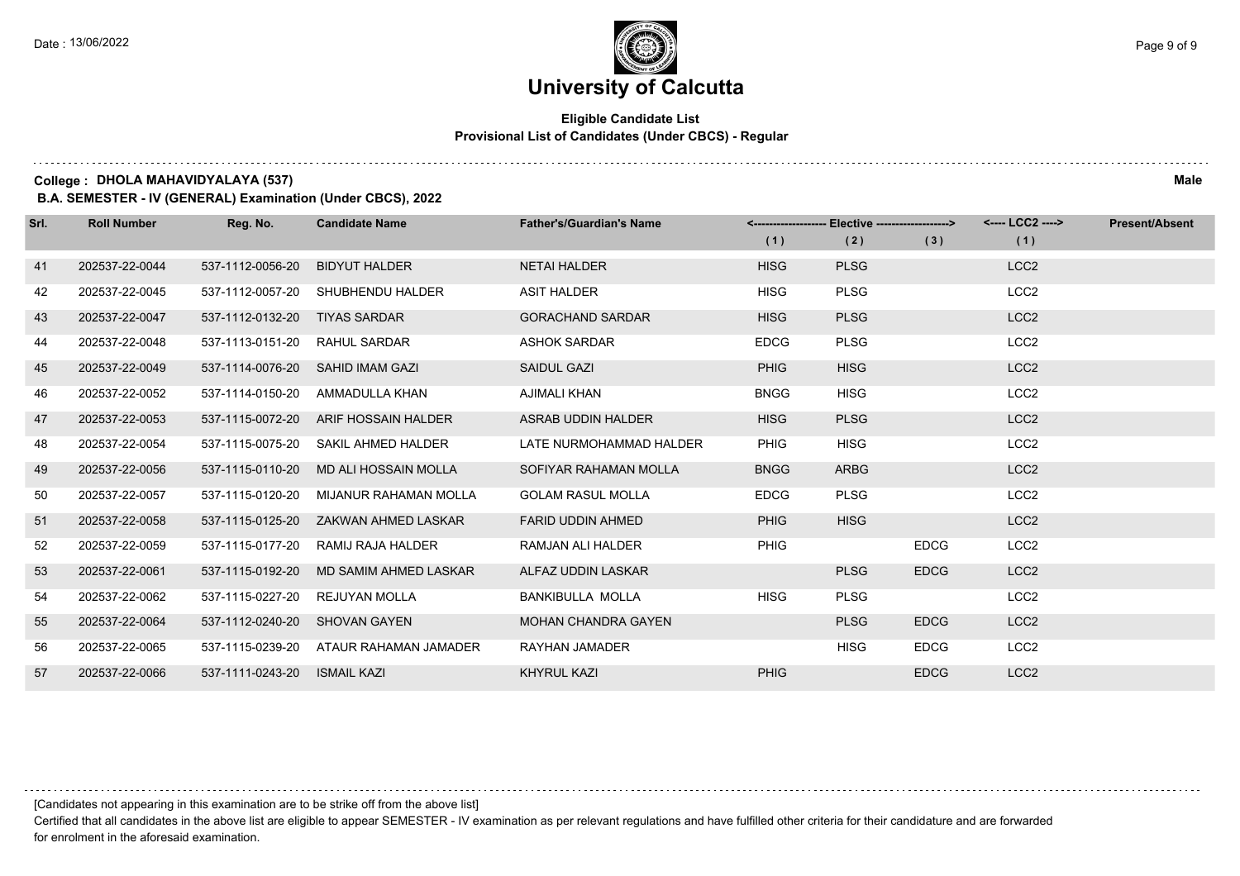### **Eligible Candidate List Provisional List of Candidates (Under CBCS) - Regular**

**College : DHOLA MAHAVIDYALAYA (537) Male**

**B.A. SEMESTER - IV (GENERAL) Examination (Under CBCS), 2022**

| Srl. | <b>Roll Number</b> | Reg. No.         | <b>Candidate Name</b> | <b>Father's/Guardian's Name</b> |             | <-------------------- Elective -------------------> |             | <---- LCC2 ----> | <b>Present/Absent</b> |
|------|--------------------|------------------|-----------------------|---------------------------------|-------------|-----------------------------------------------------|-------------|------------------|-----------------------|
|      |                    |                  |                       |                                 | (1)         | (2)                                                 | (3)         | (1)              |                       |
| 41   | 202537-22-0044     | 537-1112-0056-20 | <b>BIDYUT HALDER</b>  | <b>NETAI HALDER</b>             | <b>HISG</b> | <b>PLSG</b>                                         |             | LCC <sub>2</sub> |                       |
| 42   | 202537-22-0045     | 537-1112-0057-20 | SHUBHENDU HALDER      | <b>ASIT HALDER</b>              | <b>HISG</b> | <b>PLSG</b>                                         |             | LCC <sub>2</sub> |                       |
| 43   | 202537-22-0047     | 537-1112-0132-20 | <b>TIYAS SARDAR</b>   | <b>GORACHAND SARDAR</b>         | <b>HISG</b> | <b>PLSG</b>                                         |             | LCC <sub>2</sub> |                       |
| 44   | 202537-22-0048     | 537-1113-0151-20 | RAHUL SARDAR          | <b>ASHOK SARDAR</b>             | <b>EDCG</b> | <b>PLSG</b>                                         |             | LCC <sub>2</sub> |                       |
| 45   | 202537-22-0049     | 537-1114-0076-20 | SAHID IMAM GAZI       | <b>SAIDUL GAZI</b>              | <b>PHIG</b> | <b>HISG</b>                                         |             | LCC <sub>2</sub> |                       |
| 46   | 202537-22-0052     | 537-1114-0150-20 | AMMADULLA KHAN        | AJIMALI KHAN                    | <b>BNGG</b> | <b>HISG</b>                                         |             | LCC <sub>2</sub> |                       |
| 47   | 202537-22-0053     | 537-1115-0072-20 | ARIF HOSSAIN HALDER   | ASRAB UDDIN HALDER              | <b>HISG</b> | <b>PLSG</b>                                         |             | LCC <sub>2</sub> |                       |
| 48   | 202537-22-0054     | 537-1115-0075-20 | SAKIL AHMED HALDER    | LATE NURMOHAMMAD HALDER         | <b>PHIG</b> | <b>HISG</b>                                         |             | LCC <sub>2</sub> |                       |
| 49   | 202537-22-0056     | 537-1115-0110-20 | MD ALI HOSSAIN MOLLA  | SOFIYAR RAHAMAN MOLLA           | <b>BNGG</b> | <b>ARBG</b>                                         |             | LCC <sub>2</sub> |                       |
| 50   | 202537-22-0057     | 537-1115-0120-20 | MIJANUR RAHAMAN MOLLA | <b>GOLAM RASUL MOLLA</b>        | <b>EDCG</b> | <b>PLSG</b>                                         |             | LCC <sub>2</sub> |                       |
| 51   | 202537-22-0058     | 537-1115-0125-20 | ZAKWAN AHMED LASKAR   | <b>FARID UDDIN AHMED</b>        | <b>PHIG</b> | <b>HISG</b>                                         |             | LCC <sub>2</sub> |                       |
| 52   | 202537-22-0059     | 537-1115-0177-20 | RAMIJ RAJA HALDER     | RAMJAN ALI HALDER               | <b>PHIG</b> |                                                     | <b>EDCG</b> | LCC <sub>2</sub> |                       |
| 53   | 202537-22-0061     | 537-1115-0192-20 | MD SAMIM AHMED LASKAR | ALFAZ UDDIN LASKAR              |             | <b>PLSG</b>                                         | <b>EDCG</b> | LCC <sub>2</sub> |                       |
| 54   | 202537-22-0062     | 537-1115-0227-20 | REJUYAN MOLLA         | BANKIBULLA MOLLA                | <b>HISG</b> | <b>PLSG</b>                                         |             | LCC <sub>2</sub> |                       |
| 55   | 202537-22-0064     | 537-1112-0240-20 | <b>SHOVAN GAYEN</b>   | <b>MOHAN CHANDRA GAYEN</b>      |             | <b>PLSG</b>                                         | <b>EDCG</b> | LCC <sub>2</sub> |                       |
| 56   | 202537-22-0065     | 537-1115-0239-20 | ATAUR RAHAMAN JAMADER | <b>RAYHAN JAMADER</b>           |             | <b>HISG</b>                                         | <b>EDCG</b> | LCC <sub>2</sub> |                       |
| 57   | 202537-22-0066     | 537-1111-0243-20 | <b>ISMAIL KAZI</b>    | <b>KHYRUL KAZI</b>              | <b>PHIG</b> |                                                     | <b>EDCG</b> | LCC <sub>2</sub> |                       |

[Candidates not appearing in this examination are to be strike off from the above list]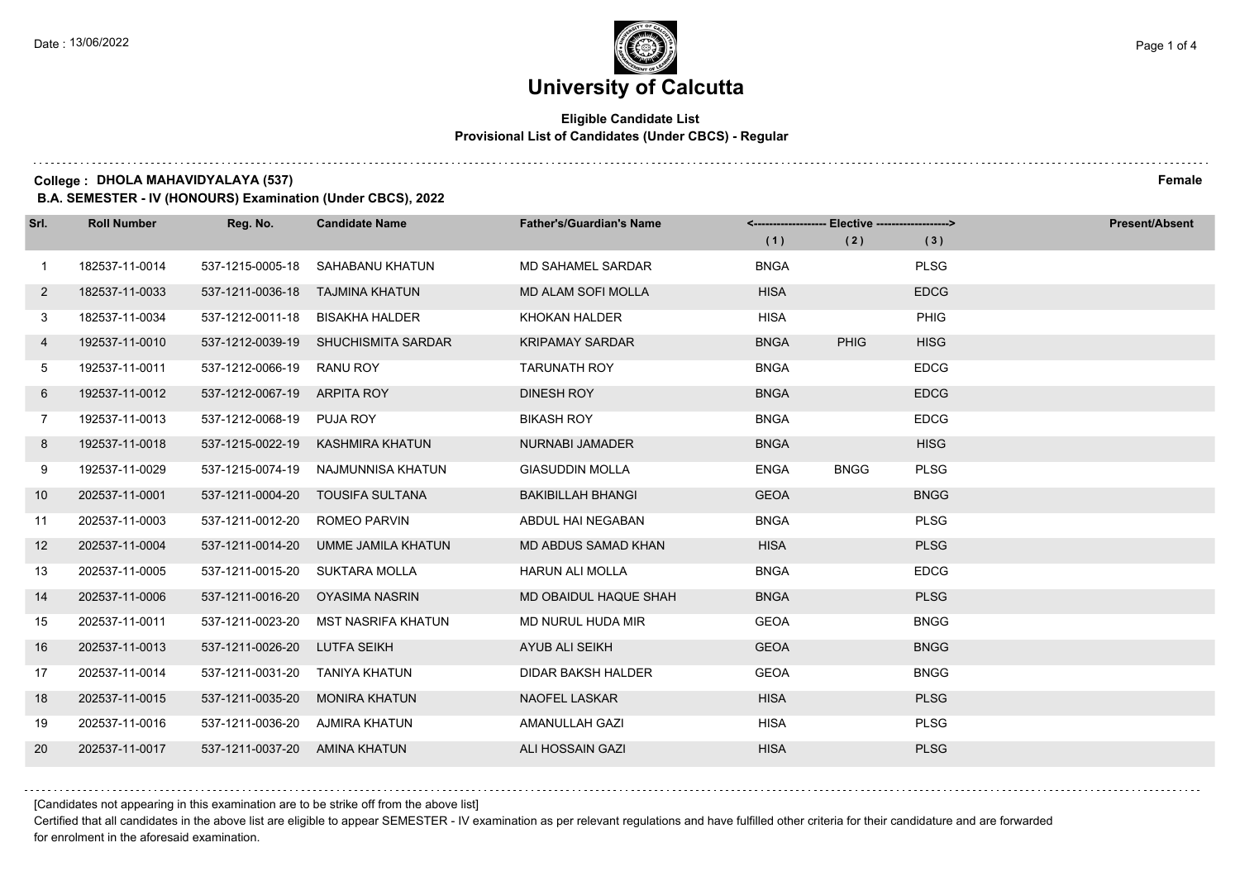$1.111$ 

# **University of Calcutta**

### **Eligible Candidate List Provisional List of Candidates (Under CBCS) - Regular**

**College : DHOLA MAHAVIDYALAYA (537) Female**

**B.A. SEMESTER - IV (HONOURS) Examination (Under CBCS), 2022**

| Srl.           | <b>Roll Number</b> | Reg. No.                  | <b>Candidate Name</b> | <b>Father's/Guardian's Name</b> | (1)         | <------------------- Elective -------------------><br>(2) | (3)         | <b>Present/Absent</b> |
|----------------|--------------------|---------------------------|-----------------------|---------------------------------|-------------|-----------------------------------------------------------|-------------|-----------------------|
| $\overline{1}$ | 182537-11-0014     | 537-1215-0005-18          | SAHABANU KHATUN       | <b>MD SAHAMEL SARDAR</b>        | <b>BNGA</b> |                                                           | <b>PLSG</b> |                       |
| $\mathbf{2}$   | 182537-11-0033     | 537-1211-0036-18          | TAJMINA KHATUN        | <b>MD ALAM SOFI MOLLA</b>       | <b>HISA</b> |                                                           | <b>EDCG</b> |                       |
| 3              | 182537-11-0034     | 537-1212-0011-18          | <b>BISAKHA HALDER</b> | <b>KHOKAN HALDER</b>            | <b>HISA</b> |                                                           | PHIG        |                       |
| 4              | 192537-11-0010     | 537-1212-0039-19          | SHUCHISMITA SARDAR    | <b>KRIPAMAY SARDAR</b>          | <b>BNGA</b> | <b>PHIG</b>                                               | <b>HISG</b> |                       |
| 5              | 192537-11-0011     | 537-1212-0066-19          | <b>RANU ROY</b>       | <b>TARUNATH ROY</b>             | <b>BNGA</b> |                                                           | <b>EDCG</b> |                       |
| 6              | 192537-11-0012     | 537-1212-0067-19          | ARPITA ROY            | <b>DINESH ROY</b>               | <b>BNGA</b> |                                                           | <b>EDCG</b> |                       |
| $7^{\circ}$    | 192537-11-0013     | 537-1212-0068-19 PUJA ROY |                       | <b>BIKASH ROY</b>               | <b>BNGA</b> |                                                           | <b>EDCG</b> |                       |
| 8              | 192537-11-0018     | 537-1215-0022-19          | KASHMIRA KHATUN       | <b>NURNABI JAMADER</b>          | <b>BNGA</b> |                                                           | <b>HISG</b> |                       |
| 9              | 192537-11-0029     | 537-1215-0074-19          | NAJMUNNISA KHATUN     | <b>GIASUDDIN MOLLA</b>          | <b>ENGA</b> | <b>BNGG</b>                                               | <b>PLSG</b> |                       |
| 10             | 202537-11-0001     | 537-1211-0004-20          | TOUSIFA SULTANA       | <b>BAKIBILLAH BHANGI</b>        | <b>GEOA</b> |                                                           | <b>BNGG</b> |                       |
| 11             | 202537-11-0003     | 537-1211-0012-20          | <b>ROMEO PARVIN</b>   | ABDUL HAI NEGABAN               | <b>BNGA</b> |                                                           | <b>PLSG</b> |                       |
| 12             | 202537-11-0004     | 537-1211-0014-20          | UMME JAMILA KHATUN    | MD ABDUS SAMAD KHAN             | <b>HISA</b> |                                                           | <b>PLSG</b> |                       |
| 13             | 202537-11-0005     | 537-1211-0015-20          | SUKTARA MOLLA         | <b>HARUN ALI MOLLA</b>          | <b>BNGA</b> |                                                           | <b>EDCG</b> |                       |
| 14             | 202537-11-0006     | 537-1211-0016-20          | OYASIMA NASRIN        | MD OBAIDUL HAQUE SHAH           | <b>BNGA</b> |                                                           | <b>PLSG</b> |                       |
| 15             | 202537-11-0011     | 537-1211-0023-20          | MST NASRIFA KHATUN    | MD NURUL HUDA MIR               | <b>GEOA</b> |                                                           | <b>BNGG</b> |                       |
| 16             | 202537-11-0013     | 537-1211-0026-20          | <b>LUTFA SEIKH</b>    | AYUB ALI SEIKH                  | <b>GEOA</b> |                                                           | <b>BNGG</b> |                       |
| 17             | 202537-11-0014     | 537-1211-0031-20          | TANIYA KHATUN         | <b>DIDAR BAKSH HALDER</b>       | <b>GEOA</b> |                                                           | <b>BNGG</b> |                       |
| 18             | 202537-11-0015     | 537-1211-0035-20          | <b>MONIRA KHATUN</b>  | <b>NAOFEL LASKAR</b>            | <b>HISA</b> |                                                           | <b>PLSG</b> |                       |
| 19             | 202537-11-0016     | 537-1211-0036-20          | AJMIRA KHATUN         | AMANULLAH GAZI                  | <b>HISA</b> |                                                           | <b>PLSG</b> |                       |
| 20             | 202537-11-0017     | 537-1211-0037-20          | AMINA KHATUN          | ALI HOSSAIN GAZI                | <b>HISA</b> |                                                           | <b>PLSG</b> |                       |

[Candidates not appearing in this examination are to be strike off from the above list]

Certified that all candidates in the above list are eligible to appear SEMESTER - IV examination as per relevant regulations and have fulfilled other criteria for their candidature and are forwarded for enrolment in the aforesaid examination.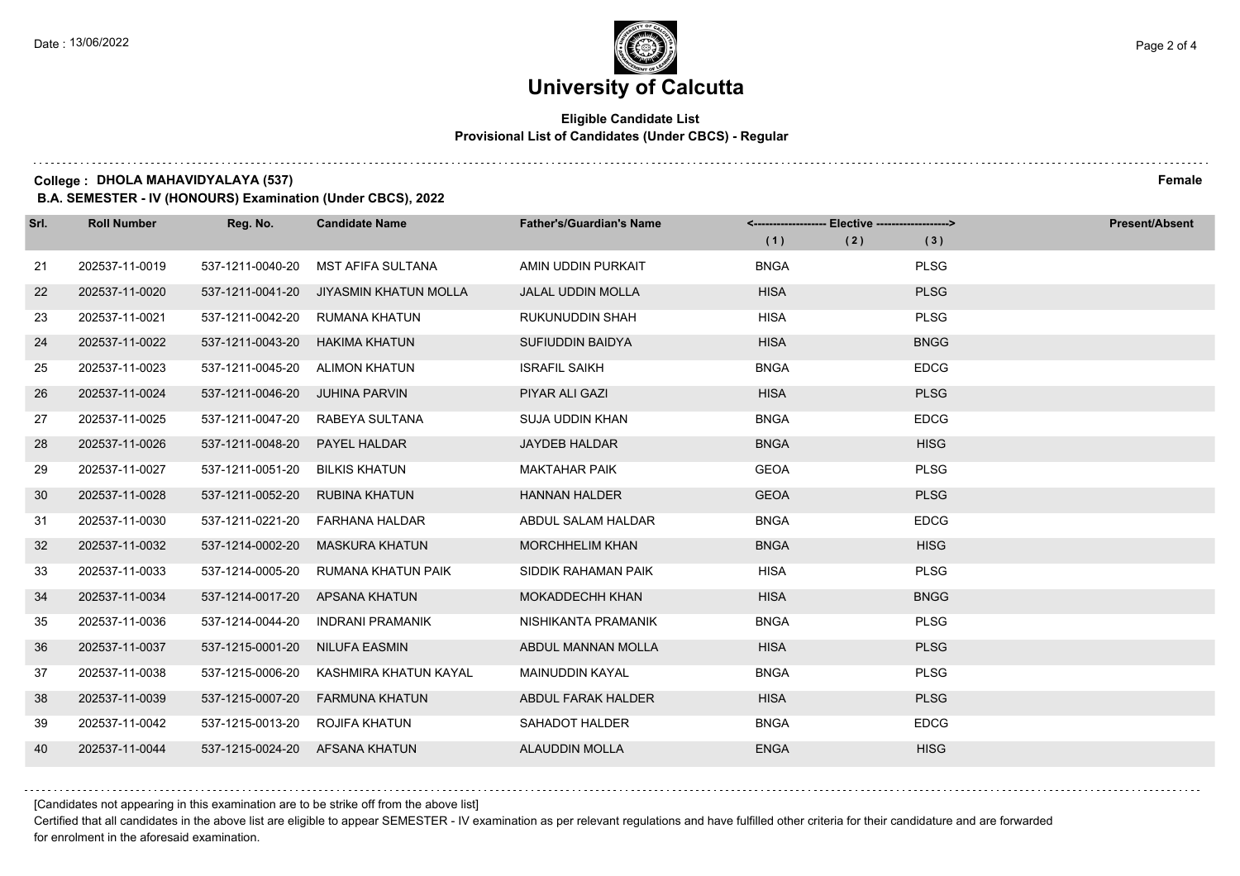### **Eligible Candidate List Provisional List of Candidates (Under CBCS) - Regular**

**College : DHOLA MAHAVIDYALAYA (537) Female**

**B.A. SEMESTER - IV (HONOURS) Examination (Under CBCS), 2022**

| Srl. | <b>Roll Number</b> | Reg. No.                       | <b>Candidate Name</b>   | <b>Father's/Guardian's Name</b> | <-------------------- Elective -------------------> |     |             | <b>Present/Absent</b> |
|------|--------------------|--------------------------------|-------------------------|---------------------------------|-----------------------------------------------------|-----|-------------|-----------------------|
|      |                    |                                |                         |                                 | (1)                                                 | (2) | (3)         |                       |
| 21   | 202537-11-0019     | 537-1211-0040-20               | MST AFIFA SULTANA       | AMIN UDDIN PURKAIT              | <b>BNGA</b>                                         |     | <b>PLSG</b> |                       |
| 22   | 202537-11-0020     | 537-1211-0041-20               | JIYASMIN KHATUN MOLLA   | <b>JALAL UDDIN MOLLA</b>        | <b>HISA</b>                                         |     | <b>PLSG</b> |                       |
| 23   | 202537-11-0021     | 537-1211-0042-20               | RUMANA KHATUN           | <b>RUKUNUDDIN SHAH</b>          | <b>HISA</b>                                         |     | <b>PLSG</b> |                       |
| 24   | 202537-11-0022     | 537-1211-0043-20               | <b>HAKIMA KHATUN</b>    | SUFIUDDIN BAIDYA                | <b>HISA</b>                                         |     | <b>BNGG</b> |                       |
| 25   | 202537-11-0023     | 537-1211-0045-20               | <b>ALIMON KHATUN</b>    | <b>ISRAFIL SAIKH</b>            | <b>BNGA</b>                                         |     | <b>EDCG</b> |                       |
| 26   | 202537-11-0024     | 537-1211-0046-20               | <b>JUHINA PARVIN</b>    | PIYAR ALI GAZI                  | <b>HISA</b>                                         |     | <b>PLSG</b> |                       |
| 27   | 202537-11-0025     | 537-1211-0047-20               | RABEYA SULTANA          | <b>SUJA UDDIN KHAN</b>          | <b>BNGA</b>                                         |     | <b>EDCG</b> |                       |
| 28   | 202537-11-0026     | 537-1211-0048-20               | PAYEL HALDAR            | <b>JAYDEB HALDAR</b>            | <b>BNGA</b>                                         |     | <b>HISG</b> |                       |
| 29   | 202537-11-0027     | 537-1211-0051-20               | <b>BILKIS KHATUN</b>    | <b>MAKTAHAR PAIK</b>            | <b>GEOA</b>                                         |     | <b>PLSG</b> |                       |
| 30   | 202537-11-0028     | 537-1211-0052-20               | <b>RUBINA KHATUN</b>    | <b>HANNAN HALDER</b>            | <b>GEOA</b>                                         |     | <b>PLSG</b> |                       |
| 31   | 202537-11-0030     | 537-1211-0221-20               | FARHANA HALDAR          | ABDUL SALAM HALDAR              | <b>BNGA</b>                                         |     | <b>EDCG</b> |                       |
| 32   | 202537-11-0032     | 537-1214-0002-20               | <b>MASKURA KHATUN</b>   | <b>MORCHHELIM KHAN</b>          | <b>BNGA</b>                                         |     | <b>HISG</b> |                       |
| 33   | 202537-11-0033     | 537-1214-0005-20               | RUMANA KHATUN PAIK      | SIDDIK RAHAMAN PAIK             | <b>HISA</b>                                         |     | <b>PLSG</b> |                       |
| 34   | 202537-11-0034     | 537-1214-0017-20               | APSANA KHATUN           | <b>MOKADDECHH KHAN</b>          | <b>HISA</b>                                         |     | <b>BNGG</b> |                       |
| 35   | 202537-11-0036     | 537-1214-0044-20               | <b>INDRANI PRAMANIK</b> | NISHIKANTA PRAMANIK             | <b>BNGA</b>                                         |     | <b>PLSG</b> |                       |
| 36   | 202537-11-0037     | 537-1215-0001-20               | NILUFA EASMIN           | ABDUL MANNAN MOLLA              | <b>HISA</b>                                         |     | <b>PLSG</b> |                       |
| 37   | 202537-11-0038     | 537-1215-0006-20               | KASHMIRA KHATUN KAYAL   | <b>MAINUDDIN KAYAL</b>          | <b>BNGA</b>                                         |     | <b>PLSG</b> |                       |
| 38   | 202537-11-0039     | 537-1215-0007-20               | <b>FARMUNA KHATUN</b>   | ABDUL FARAK HALDER              | <b>HISA</b>                                         |     | <b>PLSG</b> |                       |
| 39   | 202537-11-0042     | 537-1215-0013-20               | ROJIFA KHATUN           | SAHADOT HALDER                  | <b>BNGA</b>                                         |     | <b>EDCG</b> |                       |
| 40   | 202537-11-0044     | 537-1215-0024-20 AFSANA KHATUN |                         | <b>ALAUDDIN MOLLA</b>           | <b>ENGA</b>                                         |     | <b>HISG</b> |                       |

[Candidates not appearing in this examination are to be strike off from the above list]

Certified that all candidates in the above list are eligible to appear SEMESTER - IV examination as per relevant regulations and have fulfilled other criteria for their candidature and are forwarded for enrolment in the aforesaid examination.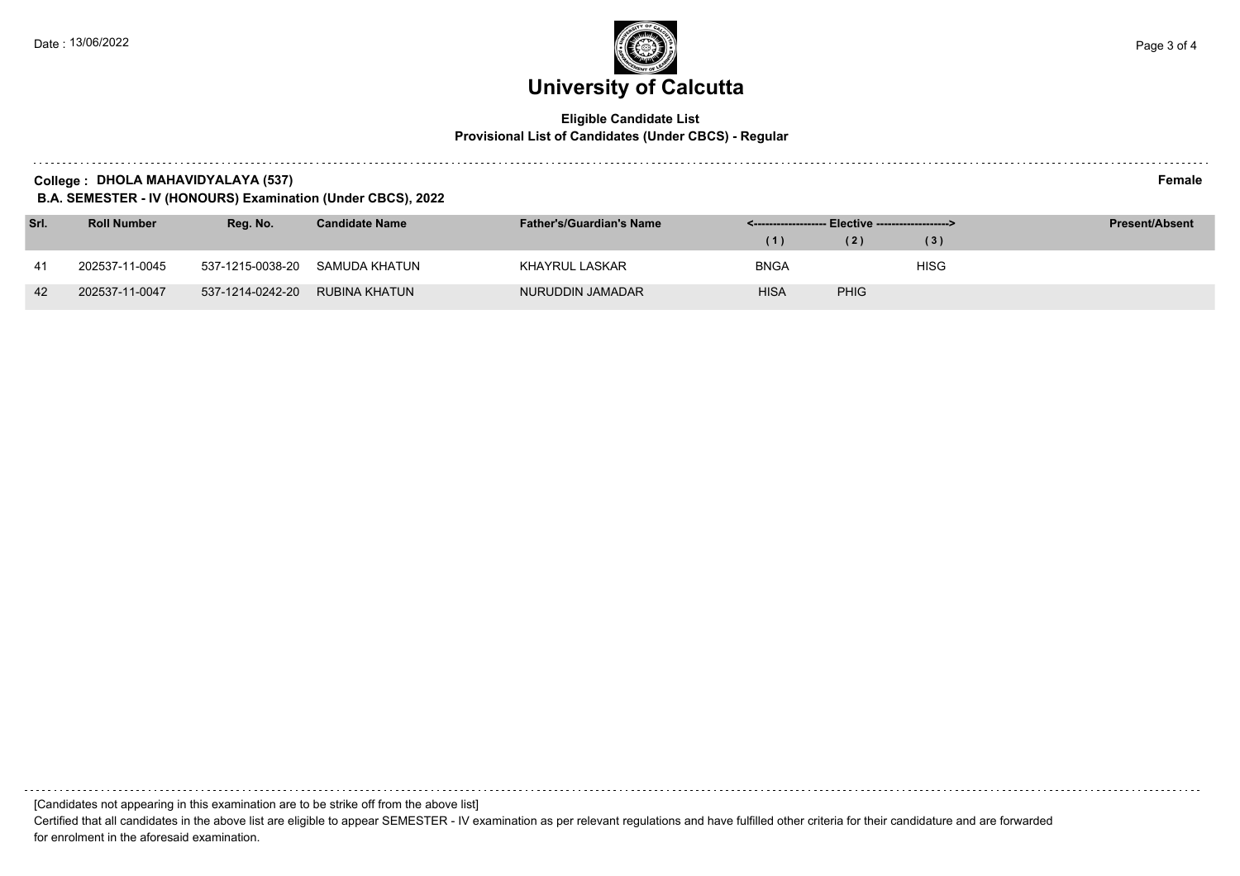### **Eligible Candidate List Provisional List of Candidates (Under CBCS) - Regular**

| College | DHOLA MAHAVIDYALAYA (537) | Female |
|---------|---------------------------|--------|
|---------|---------------------------|--------|

**B.A. SEMESTER - IV (HONOURS) Examination (Under CBCS), 2022**

| Srl. | <b>Roll Number</b> | Rea. No.         | <b>Candidate Name</b>          | <b>Father's/Guardian's Name</b> | <-------------------- Elective -------------------> |             |      | <b>Present/Absent</b> |
|------|--------------------|------------------|--------------------------------|---------------------------------|-----------------------------------------------------|-------------|------|-----------------------|
|      |                    |                  |                                |                                 | (1)                                                 | (2)         | (3)  |                       |
| 41   | 202537-11-0045     |                  | 537-1215-0038-20 SAMUDA KHATUN | KHAYRUL LASKAR                  | <b>BNGA</b>                                         |             | HISG |                       |
| 42   | 202537-11-0047     | 537-1214-0242-20 | RUBINA KHATUN                  | NURUDDIN JAMADAR                | <b>HISA</b>                                         | <b>PHIG</b> |      |                       |

[Candidates not appearing in this examination are to be strike off from the above list]